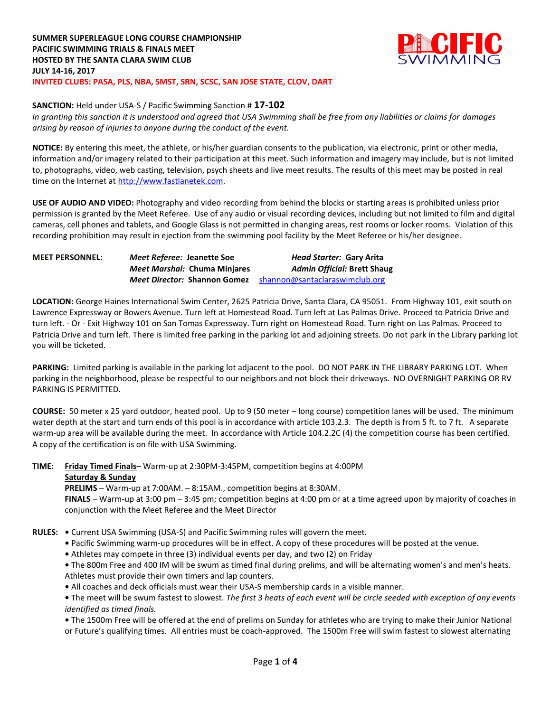

## **SANCTION:** Held under USA-S / Pacific Swimming Sanction # **17-102**

*In granting this sanction it is understood and agreed that USA Swimming shall be free from any liabilities or claims for damages arising by reason of injuries to anyone during the conduct of the event.*

**NOTICE:** By entering this meet, the athlete, or his/her guardian consents to the publication, via electronic, print or other media, information and/or imagery related to their participation at this meet. Such information and imagery may include, but is not limited to, photographs, video, web casting, television, psych sheets and live meet results. The results of this meet may be posted in real time on the Internet at [http://www.fastlanetek.com.](http://www.fastlanetek.com/)

**USE OF AUDIO AND VIDEO:** Photography and video recording from behind the blocks or starting areas is prohibited unless prior permission is granted by the Meet Referee. Use of any audio or visual recording devices, including but not limited to film and digital cameras, cell phones and tablets, and Google Glass is not permitted in changing areas, rest rooms or locker rooms. Violation of this recording prohibition may result in ejection from the swimming pool facility by the Meet Referee or his/her designee.

| <b>MEET PERSONNEL:</b> | Meet Referee: Jeanette Soe          | Head Starter: Gary Arita           |
|------------------------|-------------------------------------|------------------------------------|
|                        | Meet Marshal: Chuma Minjares        | <b>Admin Official: Brett Shaug</b> |
|                        | <i>Meet Director: Shannon Gomez</i> | shannon@santaclaraswimclub.org     |

**LOCATION:** George Haines International Swim Center, 2625 Patricia Drive, Santa Clara, CA 95051. From Highway 101, exit south on Lawrence Expressway or Bowers Avenue. Turn left at Homestead Road. Turn left at Las Palmas Drive. Proceed to Patricia Drive and turn left. - Or - Exit Highway 101 on San Tomas Expressway. Turn right on Homestead Road. Turn right on Las Palmas. Proceed to Patricia Drive and turn left. There is limited free parking in the parking lot and adjoining streets. Do not park in the Library parking lot you will be ticketed.

**PARKING:** Limited parking is available in the parking lot adjacent to the pool. DO NOT PARK IN THE LIBRARY PARKING LOT. When parking in the neighborhood, please be respectful to our neighbors and not block their driveways. NO OVERNIGHT PARKING OR RV PARKING IS PERMITTED.

**COURSE:** 50 meter x 25 yard outdoor, heated pool. Up to 9 (50 meter – long course) competition lanes will be used. The minimum water depth at the start and turn ends of this pool is in accordance with article 103.2.3. The depth is from 5 ft. to 7 ft. A separate warm-up area will be available during the meet. In accordance with Article 104.2.2C (4) the competition course has been certified. A copy of the certification is on file with USA Swimming.

**TIME: Friday Timed Finals**– Warm-up at 2:30PM-3:45PM, competition begins at 4:00PM **Saturday & Sunday**

**PRELIMS** – Warm-up at 7:00AM. – 8:15AM., competition begins at 8:30AM.

**FINALS** – Warm-up at 3:00 pm – 3:45 pm; competition begins at 4:00 pm or at a time agreed upon by majority of coaches in conjunction with the Meet Referee and the Meet Director

**RULES: •** Current USA Swimming (USA-S) and Pacific Swimming rules will govern the meet.

**•** Pacific Swimming warm-up procedures will be in effect. A copy of these procedures will be posted at the venue.

**•** Athletes may compete in three (3) individual events per day, and two (2) on Friday

**•** The 800m Free and 400 IM will be swum as timed final during prelims, and will be alternating women's and men's heats. Athletes must provide their own timers and lap counters.

**•** All coaches and deck officials must wear their USA-S membership cards in a visible manner.

**•** The meet will be swum fastest to slowest. *The first 3 heats of each event will be circle seeded with exception of any events identified as timed finals.*

**•** The 1500m Free will be offered at the end of prelims on Sunday for athletes who are trying to make their Junior National or Future's qualifying times. All entries must be coach-approved. The 1500m Free will swim fastest to slowest alternating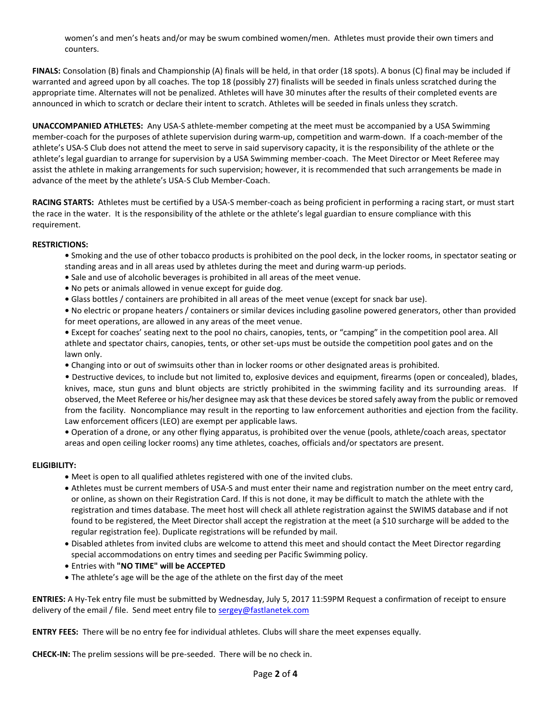women's and men's heats and/or may be swum combined women/men. Athletes must provide their own timers and counters.

**FINALS:** Consolation (B) finals and Championship (A) finals will be held, in that order (18 spots). A bonus (C) final may be included if warranted and agreed upon by all coaches. The top 18 (possibly 27) finalists will be seeded in finals unless scratched during the appropriate time. Alternates will not be penalized. Athletes will have 30 minutes after the results of their completed events are announced in which to scratch or declare their intent to scratch. Athletes will be seeded in finals unless they scratch.

**UNACCOMPANIED ATHLETES:** Any USA-S athlete-member competing at the meet must be accompanied by a USA Swimming member-coach for the purposes of athlete supervision during warm-up, competition and warm-down. If a coach-member of the athlete's USA-S Club does not attend the meet to serve in said supervisory capacity, it is the responsibility of the athlete or the athlete's legal guardian to arrange for supervision by a USA Swimming member-coach. The Meet Director or Meet Referee may assist the athlete in making arrangements for such supervision; however, it is recommended that such arrangements be made in advance of the meet by the athlete's USA-S Club Member-Coach.

**RACING STARTS:** Athletes must be certified by a USA-S member-coach as being proficient in performing a racing start, or must start the race in the water. It is the responsibility of the athlete or the athlete's legal guardian to ensure compliance with this requirement.

## **RESTRICTIONS:**

- **•** Smoking and the use of other tobacco products is prohibited on the pool deck, in the locker rooms, in spectator seating or standing areas and in all areas used by athletes during the meet and during warm-up periods.
- **•** Sale and use of alcoholic beverages is prohibited in all areas of the meet venue.
- **•** No pets or animals allowed in venue except for guide dog.
- **•** Glass bottles / containers are prohibited in all areas of the meet venue (except for snack bar use).
- **•** No electric or propane heaters / containers or similar devices including gasoline powered generators, other than provided for meet operations, are allowed in any areas of the meet venue.
- **•** Except for coaches' seating next to the pool no chairs, canopies, tents, or "camping" in the competition pool area. All athlete and spectator chairs, canopies, tents, or other set-ups must be outside the competition pool gates and on the lawn only.
- **•** Changing into or out of swimsuits other than in locker rooms or other designated areas is prohibited.
- Destructive devices, to include but not limited to, explosive devices and equipment, firearms (open or concealed), blades, knives, mace, stun guns and blunt objects are strictly prohibited in the swimming facility and its surrounding areas. If observed, the Meet Referee or his/her designee may ask that these devices be stored safely away from the public or removed from the facility. Noncompliance may result in the reporting to law enforcement authorities and ejection from the facility. Law enforcement officers (LEO) are exempt per applicable laws.

**•** Operation of a drone, or any other flying apparatus, is prohibited over the venue (pools, athlete/coach areas, spectator areas and open ceiling locker rooms) any time athletes, coaches, officials and/or spectators are present.

## **ELIGIBILITY:**

- Meet is open to all qualified athletes registered with one of the invited clubs.
- Athletes must be current members of USA-S and must enter their name and registration number on the meet entry card, or online, as shown on their Registration Card. If this is not done, it may be difficult to match the athlete with the registration and times database. The meet host will check all athlete registration against the SWIMS database and if not found to be registered, the Meet Director shall accept the registration at the meet (a \$10 surcharge will be added to the regular registration fee). Duplicate registrations will be refunded by mail.
- Disabled athletes from invited clubs are welcome to attend this meet and should contact the Meet Director regarding special accommodations on entry times and seeding per Pacific Swimming policy.
- Entries with **"NO TIME" will be ACCEPTED**
- The athlete's age will be the age of the athlete on the first day of the meet

**ENTRIES:** A Hy-Tek entry file must be submitted by Wednesday, July 5, 2017 11:59PM Request a confirmation of receipt to ensure delivery of the email / file. Send meet entry file to [sergey@fastlanetek.com](mailto:sergey@fastlanetek.com)

**ENTRY FEES:** There will be no entry fee for individual athletes. Clubs will share the meet expenses equally.

**CHECK-IN:** The prelim sessions will be pre-seeded. There will be no check in.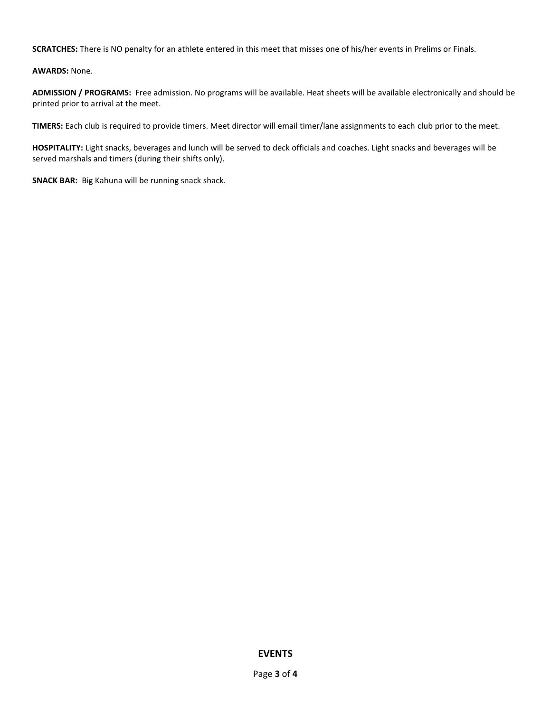**SCRATCHES:** There is NO penalty for an athlete entered in this meet that misses one of his/her events in Prelims or Finals.

**AWARDS:** None.

**ADMISSION / PROGRAMS:** Free admission. No programs will be available. Heat sheets will be available electronically and should be printed prior to arrival at the meet.

**TIMERS:** Each club is required to provide timers. Meet director will email timer/lane assignments to each club prior to the meet.

**HOSPITALITY:** Light snacks, beverages and lunch will be served to deck officials and coaches. Light snacks and beverages will be served marshals and timers (during their shifts only).

**SNACK BAR:** Big Kahuna will be running snack shack.

**EVENTS**